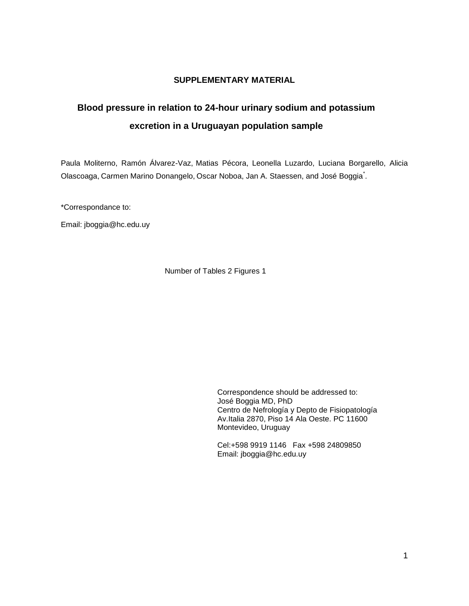## **SUPPLEMENTARY MATERIAL**

## **Blood pressure in relation to 24-hour urinary sodium and potassium excretion in a Uruguayan population sample**

Paula Moliterno, Ramón Álvarez-Vaz, Matias Pécora, Leonella Luzardo, Luciana Borgarello, Alicia Olascoaga, Carmen Marino Donangelo, Oscar Noboa, Jan A. Staessen, and José Boggia<sup>\*</sup>.

\*Correspondance to:

Email: [jboggia@hc.edu.uy](mailto:jboggia@hc.edu.uy)

Number of Tables 2 Figures 1

Correspondence should be addressed to: José Boggia MD, PhD Centro de Nefrología y Depto de Fisiopatología Av.Italia 2870, Piso 14 Ala Oeste. PC 11600 Montevideo, Uruguay

Cel:+598 9919 1146 Fax +598 24809850 Email: jboggia@hc.edu.uy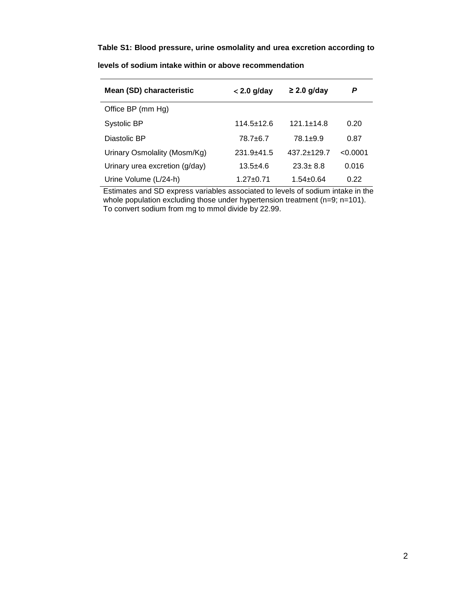## **Table S1: Blood pressure, urine osmolality and urea excretion according to**

| Mean (SD) characteristic       | $<$ 2.0 g/day  | $\geq$ 2.0 g/day | P        |
|--------------------------------|----------------|------------------|----------|
| Office BP (mm Hg)              |                |                  |          |
| Systolic BP                    | $114.5 + 12.6$ | $121.1 + 14.8$   | 0.20     |
| Diastolic BP                   | 78.7+6.7       | $78.1 \pm 9.9$   | 0.87     |
| Urinary Osmolality (Mosm/Kg)   | $231.9 + 41.5$ | $437.2 + 129.7$  | < 0.0001 |
| Urinary urea excretion (g/day) | $13.5 + 4.6$   | $23.3 + 8.8$     | 0.016    |
| Urine Volume (L/24-h)          | 1.27+0.71      | $1.54 \pm 0.64$  | 0.22     |

**levels of sodium intake within or above recommendation**

Estimates and SD express variables associated to levels of sodium intake in the whole population excluding those under hypertension treatment (n=9; n=101). To convert sodium from mg to mmol divide by 22.99.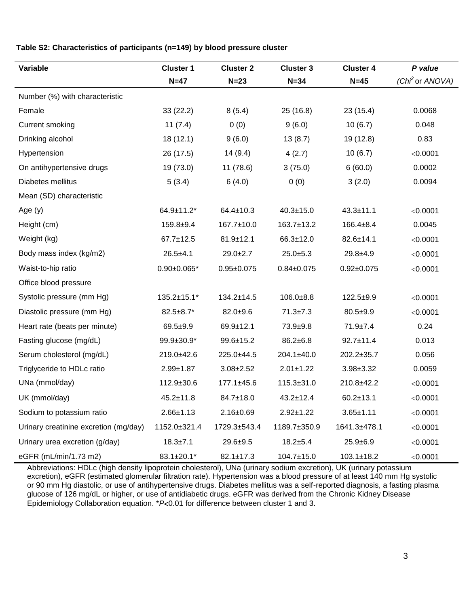## **Table S2: Characteristics of participants (n=149) by blood pressure cluster**

| Variable                              | <b>Cluster 1</b>   | <b>Cluster 2</b> | <b>Cluster 3</b> | <b>Cluster 4</b> | P value                     |
|---------------------------------------|--------------------|------------------|------------------|------------------|-----------------------------|
|                                       | $N=47$             | $N=23$           | $N = 34$         | $N=45$           | (Chi <sup>2</sup> or ANOVA) |
| Number (%) with characteristic        |                    |                  |                  |                  |                             |
| Female                                | 33(22.2)           | 8(5.4)           | 25(16.8)         | 23(15.4)         | 0.0068                      |
| <b>Current smoking</b>                | 11(7.4)            | 0(0)             | 9(6.0)           | 10(6.7)          | 0.048                       |
| Drinking alcohol                      | 18(12.1)           | 9(6.0)           | 13(8.7)          | 19 (12.8)        | 0.83                        |
| Hypertension                          | 26 (17.5)          | 14(9.4)          | 4(2.7)           | 10(6.7)          | < 0.0001                    |
| On antihypertensive drugs             | 19 (73.0)          | 11 (78.6)        | 3(75.0)          | 6(60.0)          | 0.0002                      |
| Diabetes mellitus                     | 5(3.4)             | 6(4.0)           | 0(0)             | 3(2.0)           | 0.0094                      |
| Mean (SD) characteristic              |                    |                  |                  |                  |                             |
| Age (y)                               | $64.9 \pm 11.2$ *  | $64.4 \pm 10.3$  | $40.3 \pm 15.0$  | $43.3 \pm 11.1$  | < 0.0001                    |
| Height (cm)                           | $159.8 + 9.4$      | 167.7±10.0       | 163.7±13.2       | $166.4 \pm 8.4$  | 0.0045                      |
| Weight (kg)                           | $67.7 \pm 12.5$    | $81.9 \pm 12.1$  | 66.3±12.0        | $82.6 \pm 14.1$  | < 0.0001                    |
| Body mass index (kg/m2)               | $26.5 + 4.1$       | $29.0 + 2.7$     | $25.0 + 5.3$     | $29.8 + 4.9$     | < 0.0001                    |
| Waist-to-hip ratio                    | $0.90 \pm 0.065$ * | $0.95 + 0.075$   | $0.84 \pm 0.075$ | $0.92 \pm 0.075$ | < 0.0001                    |
| Office blood pressure                 |                    |                  |                  |                  |                             |
| Systolic pressure (mm Hg)             | $135.2 \pm 15.1*$  | $134.2 \pm 14.5$ | $106.0 + 8.8$    | $122.5+9.9$      | < 0.0001                    |
| Diastolic pressure (mm Hg)            | $82.5 \pm 8.7*$    | $82.0 + 9.6$     | $71.3 \pm 7.3$   | $80.5 + 9.9$     | < 0.0001                    |
| Heart rate (beats per minute)         | $69.5 + 9.9$       | $69.9 + 12.1$    | $73.9 + 9.8$     | $71.9 \pm 7.4$   | 0.24                        |
| Fasting glucose (mg/dL)               | $99.9 \pm 30.9^*$  | $99.6 \pm 15.2$  | $86.2 \pm 6.8$   | $92.7 \pm 11.4$  | 0.013                       |
| Serum cholesterol (mg/dL)             | 219.0±42.6         | 225.0±44.5       | 204.1±40.0       | 202.2±35.7       | 0.056                       |
| Triglyceride to HDLc ratio            | $2.99 + 1.87$      | $3.08 \pm 2.52$  | $2.01 \pm 1.22$  | $3.98 \pm 3.32$  | 0.0059                      |
| UNa (mmol/day)                        | 112.9±30.6         | $177.1 \pm 45.6$ | $115.3 \pm 31.0$ | 210.8±42.2       | < 0.0001                    |
| UK (mmol/day)                         | $45.2 \pm 11.8$    | 84.7±18.0        | $43.2 \pm 12.4$  | $60.2 \pm 13.1$  | < 0.0001                    |
| Sodium to potassium ratio             | $2.66 \pm 1.13$    | $2.16 \pm 0.69$  | $2.92 \pm 1.22$  | $3.65 \pm 1.11$  | < 0.0001                    |
| Urinary creatinine excretion (mg/day) | 1152.0±321.4       | 1729.3±543.4     | 1189.7±350.9     | 1641.3±478.1     | < 0.0001                    |
| Urinary urea excretion (g/day)        | $18.3 + 7.1$       | $29.6 + 9.5$     | $18.2 + 5.4$     | $25.9 + 6.9$     | < 0.0001                    |
| eGFR (mL/min/1.73 m2)                 | 83.1±20.1*         | $82.1 \pm 17.3$  | 104.7±15.0       | $103.1 \pm 18.2$ | < 0.0001                    |

Abbreviations: HDLc (high density lipoprotein cholesterol), UNa (urinary sodium excretion), UK (urinary potassium excretion), eGFR (estimated glomerular filtration rate). Hypertension was a blood pressure of at least 140 mm Hg systolic or 90 mm Hg diastolic, or use of antihypertensive drugs. Diabetes mellitus was a self-reported diagnosis, a fasting plasma glucose of 126 mg/dL or higher, or use of antidiabetic drugs. eGFR was derived from the Chronic Kidney Disease Epidemiology Collaboration equation. \**P*<0.01 for difference between cluster 1 and 3.